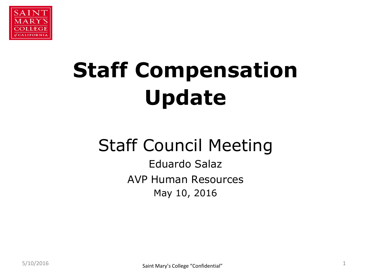

# **Staff Compensation Update**

## Staff Council Meeting

Eduardo Salaz AVP Human Resources May 10, 2016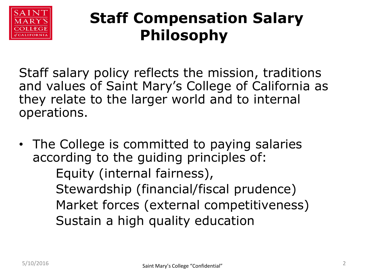

### **Staff Compensation Salary Philosophy**

Staff salary policy reflects the mission, traditions and values of Saint Mary's College of California as they relate to the larger world and to internal operations.

• The College is committed to paying salaries according to the guiding principles of: Equity (internal fairness), Stewardship (financial/fiscal prudence) Market forces (external competitiveness) Sustain a high quality education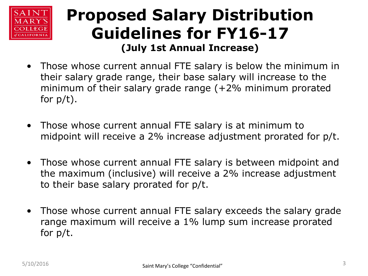

#### **Proposed Salary Distribution Guidelines for FY16-17 (July 1st Annual Increase)**

- Those whose current annual FTE salary is below the minimum in their salary grade range, their base salary will increase to the minimum of their salary grade range (+2% minimum prorated for  $p/t$ ).
- Those whose current annual FTE salary is at minimum to midpoint will receive a 2% increase adjustment prorated for p/t.
- Those whose current annual FTE salary is between midpoint and the maximum (inclusive) will receive a 2% increase adjustment to their base salary prorated for p/t.
- Those whose current annual FTE salary exceeds the salary grade range maximum will receive a 1% lump sum increase prorated for p/t.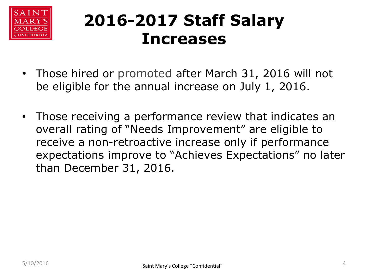

## **2016-2017 Staff Salary Increases**

- Those hired or promoted after March 31, 2016 will not be eligible for the annual increase on July 1, 2016.
- Those receiving a performance review that indicates an overall rating of "Needs Improvement" are eligible to receive a non-retroactive increase only if performance expectations improve to "Achieves Expectations" no later than December 31, 2016.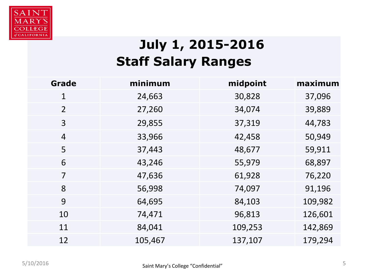

#### **July 1, 2015-2016 Staff Salary Ranges**

| <b>Grade</b>   | minimum | midpoint | maximum |
|----------------|---------|----------|---------|
| $\mathbf{1}$   | 24,663  | 30,828   | 37,096  |
| 2              | 27,260  | 34,074   | 39,889  |
| 3              | 29,855  | 37,319   | 44,783  |
| $\overline{4}$ | 33,966  | 42,458   | 50,949  |
| 5              | 37,443  | 48,677   | 59,911  |
| 6              | 43,246  | 55,979   | 68,897  |
| $\overline{7}$ | 47,636  | 61,928   | 76,220  |
| 8              | 56,998  | 74,097   | 91,196  |
| 9              | 64,695  | 84,103   | 109,982 |
| 10             | 74,471  | 96,813   | 126,601 |
| 11             | 84,041  | 109,253  | 142,869 |
| 12             | 105,467 | 137,107  | 179,294 |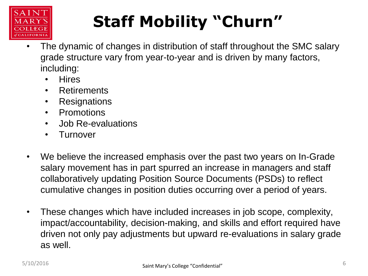

# **Staff Mobility "Churn"**

- The dynamic of changes in distribution of staff throughout the SMC salary grade structure vary from year-to-year and is driven by many factors, including:
	- Hires
	- Retirements
	- Resignations
	- Promotions
	- Job Re-evaluations
	- Turnover
- We believe the increased emphasis over the past two years on In-Grade salary movement has in part spurred an increase in managers and staff collaboratively updating Position Source Documents (PSDs) to reflect cumulative changes in position duties occurring over a period of years.
- These changes which have included increases in job scope, complexity, impact/accountability, decision-making, and skills and effort required have driven not only pay adjustments but upward re-evaluations in salary grade as well.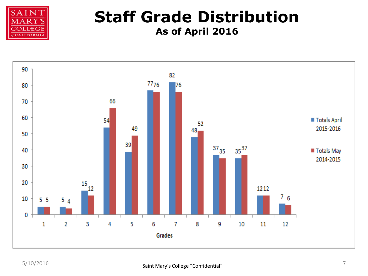

#### **Staff Grade Distribution As of April 2016**

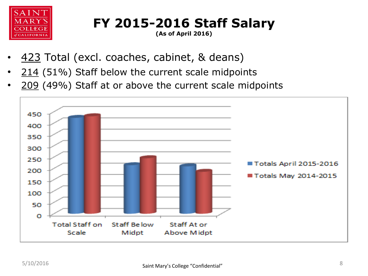

**FY 2015-2016 Staff Salary**

**(As of April 2016)**

- 423 Total (excl. coaches, cabinet, & deans)
- $214$  (51%) Staff below the current scale midpoints
- 209 (49%) Staff at or above the current scale midpoints

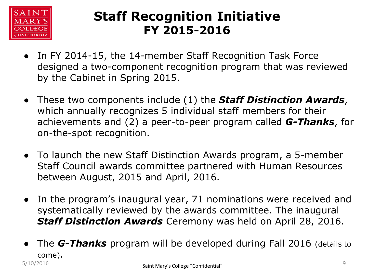

#### **Staff Recognition Initiative FY 2015-2016**

- In FY 2014-15, the 14-member Staff Recognition Task Force designed a two-component recognition program that was reviewed by the Cabinet in Spring 2015.
- These two components include (1) the *Staff Distinction Awards*, which annually recognizes 5 individual staff members for their achievements and (2) a peer-to-peer program called *G-Thanks*, for on-the-spot recognition.
- To launch the new Staff Distinction Awards program, a 5-member Staff Council awards committee partnered with Human Resources between August, 2015 and April, 2016.
- In the program's inaugural year, 71 nominations were received and systematically reviewed by the awards committee. The inaugural *Staff Distinction Awards* Ceremony was held on April 28, 2016.
- The *G-Thanks* program will be developed during Fall 2016 (details to come). Saint Mary's College "Confidential" 5/10/2016